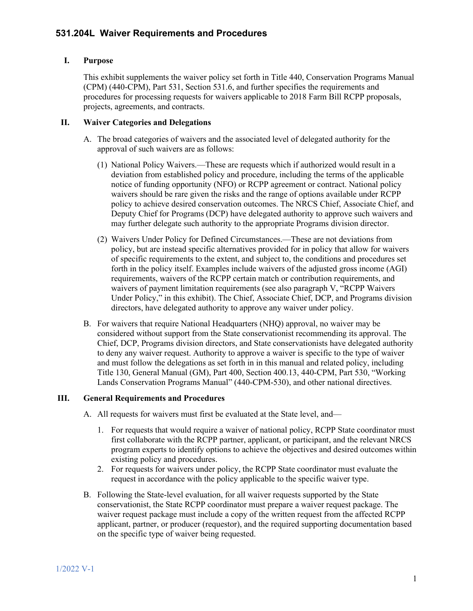## **I. Purpose**

This exhibit supplements the waiver policy set forth in Title 440, Conservation Programs Manual (CPM) (440-CPM), Part 531, Section 531.6, and further specifies the requirements and procedures for processing requests for waivers applicable to 2018 Farm Bill RCPP proposals, projects, agreements, and contracts.

#### **II. Waiver Categories and Delegations**

- A. The broad categories of waivers and the associated level of delegated authority for the approval of such waivers are as follows:
	- (1) National Policy Waivers.—These are requests which if authorized would result in a deviation from established policy and procedure, including the terms of the applicable notice of funding opportunity (NFO) or RCPP agreement or contract. National policy waivers should be rare given the risks and the range of options available under RCPP policy to achieve desired conservation outcomes. The NRCS Chief, Associate Chief, and Deputy Chief for Programs (DCP) have delegated authority to approve such waivers and may further delegate such authority to the appropriate Programs division director.
	- (2) Waivers Under Policy for Defined Circumstances.—These are not deviations from policy, but are instead specific alternatives provided for in policy that allow for waivers of specific requirements to the extent, and subject to, the conditions and procedures set forth in the policy itself. Examples include waivers of the adjusted gross income (AGI) requirements, waivers of the RCPP certain match or contribution requirements, and waivers of payment limitation requirements (see also paragraph V, "RCPP Waivers Under Policy," in this exhibit). The Chief, Associate Chief, DCP, and Programs division directors, have delegated authority to approve any waiver under policy.
- B. For waivers that require National Headquarters (NHQ) approval, no waiver may be considered without support from the State conservationist recommending its approval. The Chief, DCP, Programs division directors, and State conservationists have delegated authority to deny any waiver request. Authority to approve a waiver is specific to the type of waiver and must follow the delegations as set forth in in this manual and related policy, including Title 130, General Manual (GM), Part 400, Section 400.13, 440-CPM, Part 530, "Working Lands Conservation Programs Manual" (440-CPM-530), and other national directives.

#### **III. General Requirements and Procedures**

- A. All requests for waivers must first be evaluated at the State level, and—
	- 1. For requests that would require a waiver of national policy, RCPP State coordinator must first collaborate with the RCPP partner, applicant, or participant, and the relevant NRCS program experts to identify options to achieve the objectives and desired outcomes within existing policy and procedures.
	- 2. For requests for waivers under policy, the RCPP State coordinator must evaluate the request in accordance with the policy applicable to the specific waiver type.
- B. Following the State-level evaluation, for all waiver requests supported by the State conservationist, the State RCPP coordinator must prepare a waiver request package. The waiver request package must include a copy of the written request from the affected RCPP applicant, partner, or producer (requestor), and the required supporting documentation based on the specific type of waiver being requested.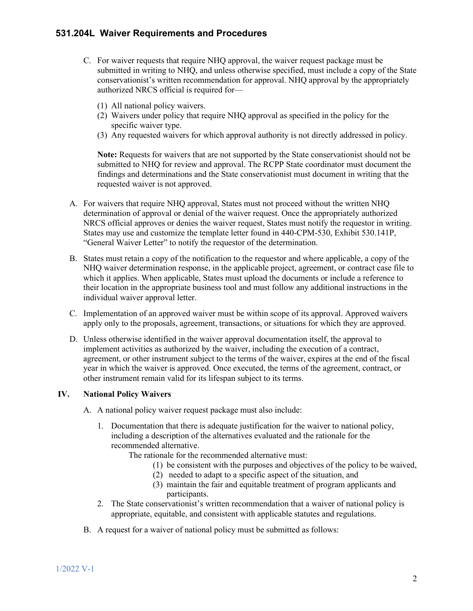- C. For waiver requests that require NHQ approval, the waiver request package must be submitted in writing to NHQ, and unless otherwise specified, must include a copy of the State conservationist's written recommendation for approval. NHQ approval by the appropriately authorized NRCS official is required for—
	- (1) All national policy waivers.
	- (2) Waivers under policy that require NHQ approval as specified in the policy for the specific waiver type.
	- (3) Any requested waivers for which approval authority is not directly addressed in policy.

**Note:** Requests for waivers that are not supported by the State conservationist should not be submitted to NHQ for review and approval. The RCPP State coordinator must document the findings and determinations and the State conservationist must document in writing that the requested waiver is not approved.

- A. For waivers that require NHQ approval, States must not proceed without the written NHQ determination of approval or denial of the waiver request. Once the appropriately authorized NRCS official approves or denies the waiver request, States must notify the requestor in writing. States may use and customize the template letter found in 440-CPM-530, Exhibit 530.141P, "General Waiver Letter" to notify the requestor of the determination.
- B. States must retain a copy of the notification to the requestor and where applicable, a copy of the NHQ waiver determination response, in the applicable project, agreement, or contract case file to which it applies. When applicable, States must upload the documents or include a reference to their location in the appropriate business tool and must follow any additional instructions in the individual waiver approval letter.
- C. Implementation of an approved waiver must be within scope of its approval. Approved waivers apply only to the proposals, agreement, transactions, or situations for which they are approved.
- D. Unless otherwise identified in the waiver approval documentation itself, the approval to implement activities as authorized by the waiver, including the execution of a contract, agreement, or other instrument subject to the terms of the waiver, expires at the end of the fiscal year in which the waiver is approved. Once executed, the terms of the agreement, contract, or other instrument remain valid for its lifespan subject to its terms.

### **IV. National Policy Waivers**

- A. A national policy waiver request package must also include:
	- 1. Documentation that there is adequate justification for the waiver to national policy, including a description of the alternatives evaluated and the rationale for the recommended alternative.
		- The rationale for the recommended alternative must:
			- (1) be consistent with the purposes and objectives of the policy to be waived,
			- (2) needed to adapt to a specific aspect of the situation, and
			- (3) maintain the fair and equitable treatment of program applicants and participants.
	- 2. The State conservationist's written recommendation that a waiver of national policy is appropriate, equitable, and consistent with applicable statutes and regulations.
- B. A request for a waiver of national policy must be submitted as follows: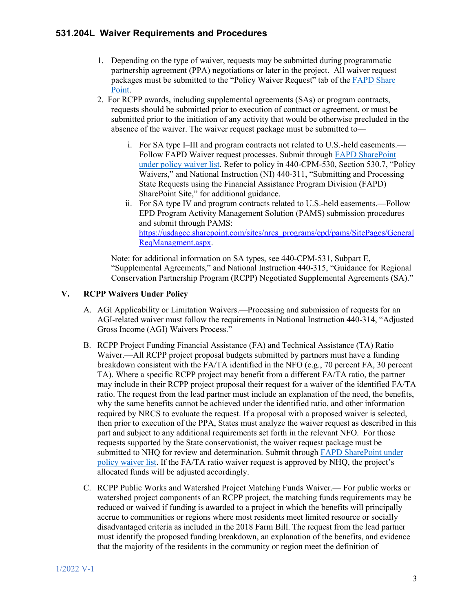- 1. Depending on the type of waiver, requests may be submitted during programmatic partnership agreement (PPA) negotiations or later in the project. All waiver request packages must be submitted to the "Policy Waiver Request" tab of the [FAPD Share](https://usdagcc.sharepoint.com/sites/nrcs_programs/fapd/Lists/Policy%20Waiver%20Request/State%20View.aspx?viewpath=%2Fsites%2Fnrcs%5Fprograms%2Ffapd%2FLists%2FPolicy%20Waiver%20Request%2FState%20View%2Easpx)  [Point.](https://usdagcc.sharepoint.com/sites/nrcs_programs/fapd/Lists/Policy%20Waiver%20Request/State%20View.aspx?viewpath=%2Fsites%2Fnrcs%5Fprograms%2Ffapd%2FLists%2FPolicy%20Waiver%20Request%2FState%20View%2Easpx)
- 2. For RCPP awards, including supplemental agreements (SAs) or program contracts, requests should be submitted prior to execution of contract or agreement, or must be submitted prior to the initiation of any activity that would be otherwise precluded in the absence of the waiver. The waiver request package must be submitted to
	- i. For SA type I–III and program contracts not related to U.S.-held easements.— Follow FAPD Waiver request processes. Submit through [FAPD SharePoint](https://usdagcc.sharepoint.com/sites/nrcs_programs/fapd/Lists/Policy%20Waiver%20Request/State%20View.aspx)  [under policy waiver list.](https://usdagcc.sharepoint.com/sites/nrcs_programs/fapd/Lists/Policy%20Waiver%20Request/State%20View.aspx) Refer to policy in 440-CPM-530, Section 530.7, "Policy Waivers," and National Instruction (NI) 440-311, "Submitting and Processing State Requests using the Financial Assistance Program Division (FAPD) SharePoint Site," for additional guidance.
	- ii. For SA type IV and program contracts related to U.S.-held easements.—Follow EPD Program Activity Management Solution (PAMS) submission procedures and submit through PAMS: [https://usdagcc.sharepoint.com/sites/nrcs\\_programs/epd/pams/SitePages/General](https://usdagcc.sharepoint.com/sites/nrcs_programs/epd/pams/SitePages/GeneralReqManagment.aspx) [ReqManagment.aspx.](https://usdagcc.sharepoint.com/sites/nrcs_programs/epd/pams/SitePages/GeneralReqManagment.aspx)

Note: for additional information on SA types, see 440-CPM-531, Subpart E, "Supplemental Agreements," and National Instruction 440-315, "Guidance for Regional Conservation Partnership Program (RCPP) Negotiated Supplemental Agreements (SA)."

### **V. RCPP Waivers Under Policy**

- A. AGI Applicability or Limitation Waivers.—Processing and submission of requests for an AGI-related waiver must follow the requirements in National Instruction 440-314, "Adjusted Gross Income (AGI) Waivers Process."
- B. RCPP Project Funding Financial Assistance (FA) and Technical Assistance (TA) Ratio Waiver.—All RCPP project proposal budgets submitted by partners must have a funding breakdown consistent with the FA/TA identified in the NFO (e.g., 70 percent FA, 30 percent TA). Where a specific RCPP project may benefit from a different FA/TA ratio, the partner may include in their RCPP project proposal their request for a waiver of the identified FA/TA ratio. The request from the lead partner must include an explanation of the need, the benefits, why the same benefits cannot be achieved under the identified ratio, and other information required by NRCS to evaluate the request. If a proposal with a proposed waiver is selected, then prior to execution of the PPA, States must analyze the waiver request as described in this part and subject to any additional requirements set forth in the relevant NFO. For those requests supported by the State conservationist, the waiver request package must be submitted to NHQ for review and determination. Submit through [FAPD SharePoint under](https://usdagcc.sharepoint.com/sites/nrcs_programs/fapd/Lists/Policy%20Waiver%20Request/State%20View.aspx)  [policy waiver list.](https://usdagcc.sharepoint.com/sites/nrcs_programs/fapd/Lists/Policy%20Waiver%20Request/State%20View.aspx) If the FA/TA ratio waiver request is approved by NHQ, the project's allocated funds will be adjusted accordingly.
- C. RCPP Public Works and Watershed Project Matching Funds Waiver.— For public works or watershed project components of an RCPP project, the matching funds requirements may be reduced or waived if funding is awarded to a project in which the benefits will principally accrue to communities or regions where most residents meet limited resource or socially disadvantaged criteria as included in the 2018 Farm Bill. The request from the lead partner must identify the proposed funding breakdown, an explanation of the benefits, and evidence that the majority of the residents in the community or region meet the definition of